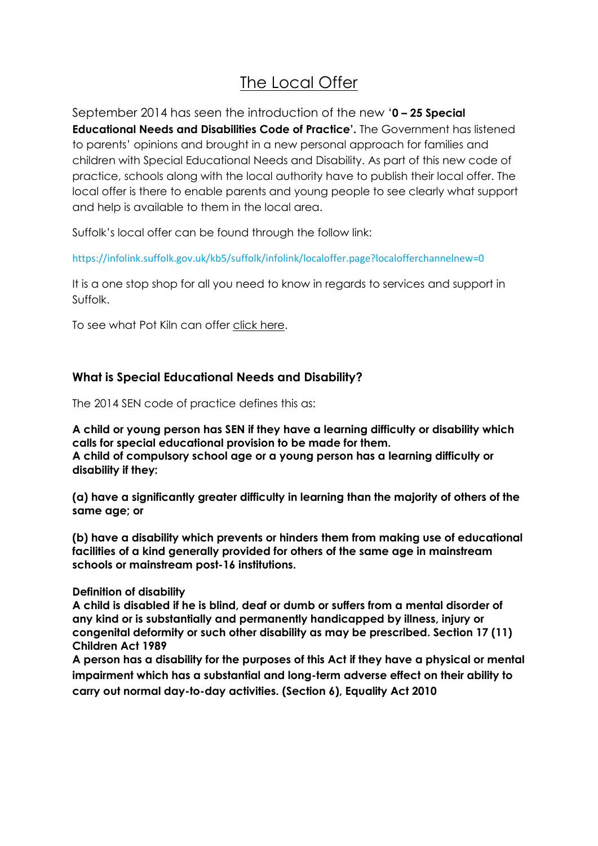# The Local Offer

September 2014 has seen the introduction of the new '**0 – 25 Special Educational Needs and Disabilities Code of Practice'.** The Government has listened to parents' opinions and brought in a new personal approach for families and children with Special Educational Needs and Disability. As part of this new code of practice, schools along with the local authority have to publish their local offer. The local offer is there to enable parents and young people to see clearly what support and help is available to them in the local area.

Suffolk's local offer can be found through the follow link:

<https://infolink.suffolk.gov.uk/kb5/suffolk/infolink/localoffer.page?localofferchannelnew=0>

It is a one stop shop for all you need to know in regards to services and support in Suffolk.

To see what Pot Kiln can offer click here.

## **What is Special Educational Needs and Disability?**

The 2014 SEN code of practice defines this as:

**A child or young person has SEN if they have a learning difficulty or disability which calls for special educational provision to be made for them. A child of compulsory school age or a young person has a learning difficulty or disability if they:** 

**(a) have a significantly greater difficulty in learning than the majority of others of the same age; or** 

**(b) have a disability which prevents or hinders them from making use of educational facilities of a kind generally provided for others of the same age in mainstream schools or mainstream post-16 institutions.** 

#### **Definition of disability**

**A child is disabled if he is blind, deaf or dumb or suffers from a mental disorder of any kind or is substantially and permanently handicapped by illness, injury or congenital deformity or such other disability as may be prescribed. Section 17 (11) Children Act 1989** 

**A person has a disability for the purposes of this Act if they have a physical or mental impairment which has a substantial and long-term adverse effect on their ability to carry out normal day-to-day activities. (Section 6), Equality Act 2010**